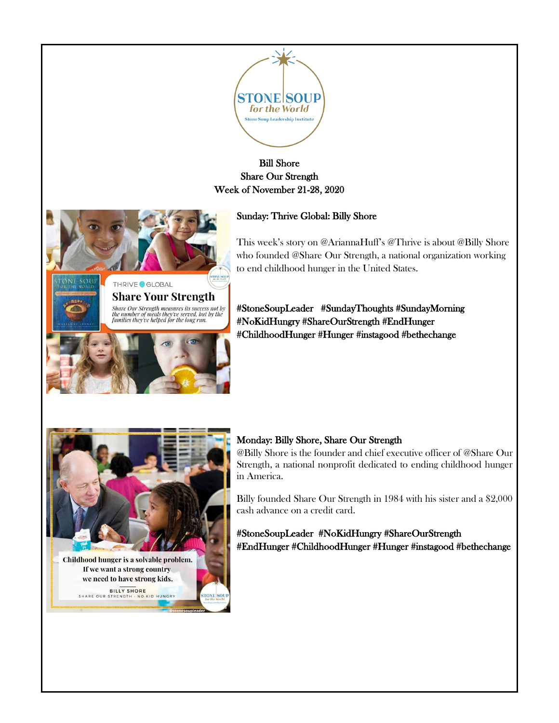

## Bill Shore Share Our Strength Week of November 21-28, 2020

## Sunday: Thrive Global: Billy Shore



Share Our Strength measures its success not by<br>the number of meals they've served, but by the<br>families they've helped for the long run.

This week's story on @AriannaHuff's @Thrive is about @Billy Shore who founded @Share Our Strength, a national organization working to end childhood hunger in the United States.

#StoneSoupLeader #SundayThoughts #SundayMorning #NoKidHungry #ShareOurStrength #EndHunger #ChildhoodHunger #Hunger #instagood #bethechange



BILLY SHORE<br>STRENGTH - NO KID HUNGRY SHARE OUR STRENGTH

## Monday: Billy Shore, Share Our Strength

@Billy Shore is the founder and chief executive officer of @Share Our Strength, a national nonprofit dedicated to ending childhood hunger in America.

Billy founded Share Our Strength in 1984 with his sister and a \$2,000 cash advance on a credit card.

#StoneSoupLeader #NoKidHungry #ShareOurStrength #EndHunger #ChildhoodHunger #Hunger #instagood #bethechange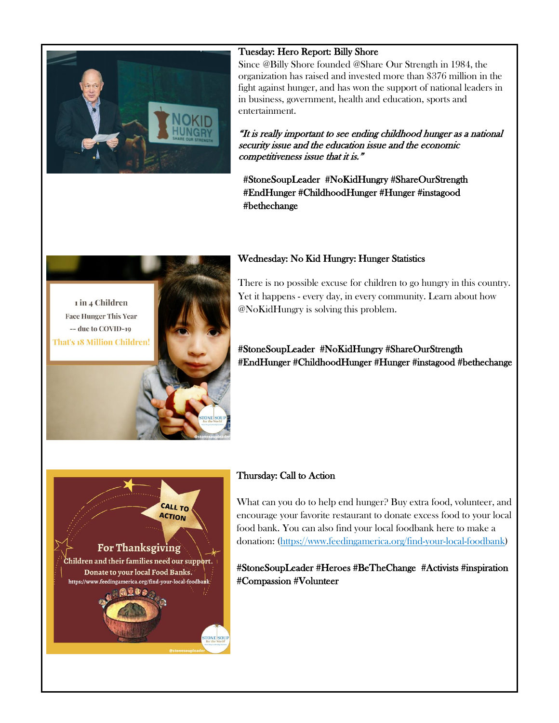

#### Tuesday: Hero Report: Billy Shore

Since @Billy Shore founded @Share Our Strength in 1984, the organization has raised and invested more than \$376 million in the fight against hunger, and has won the support of national leaders in in business, government, health and education, sports and entertainment.

"It is really important to see ending childhood hunger as a national security issue and the education issue and the economic competitiveness issue that it is."

#StoneSoupLeader #NoKidHungry #ShareOurStrength #EndHunger #ChildhoodHunger #Hunger #instagood #bethechange

#### Wednesday: No Kid Hungry: Hunger Statistics

1 in 4 Children **Face Hunger This Year** -- due to COVID-19 That's 18 Million Children!



There is no possible excuse for children to go hungry in this country. Yet it happens - every day, in every community. Learn about how @NoKidHungry is solving this problem.

## #StoneSoupLeader #NoKidHungry #ShareOurStrength #EndHunger #ChildhoodHunger #Hunger #instagood #bethechange



## Thursday: Call to Action

What can you do to help end hunger? Buy extra food, volunteer, and encourage your favorite restaurant to donate excess food to your local food bank. You can also find your local foodbank here to make a donation: [\(https://www.feedingamerica.org/find-your-local-foodbank\)](https://www.feedingamerica.org/find-your-local-foodbank)

#StoneSoupLeader #Heroes #BeTheChange #Activists #inspiration #Compassion #Volunteer